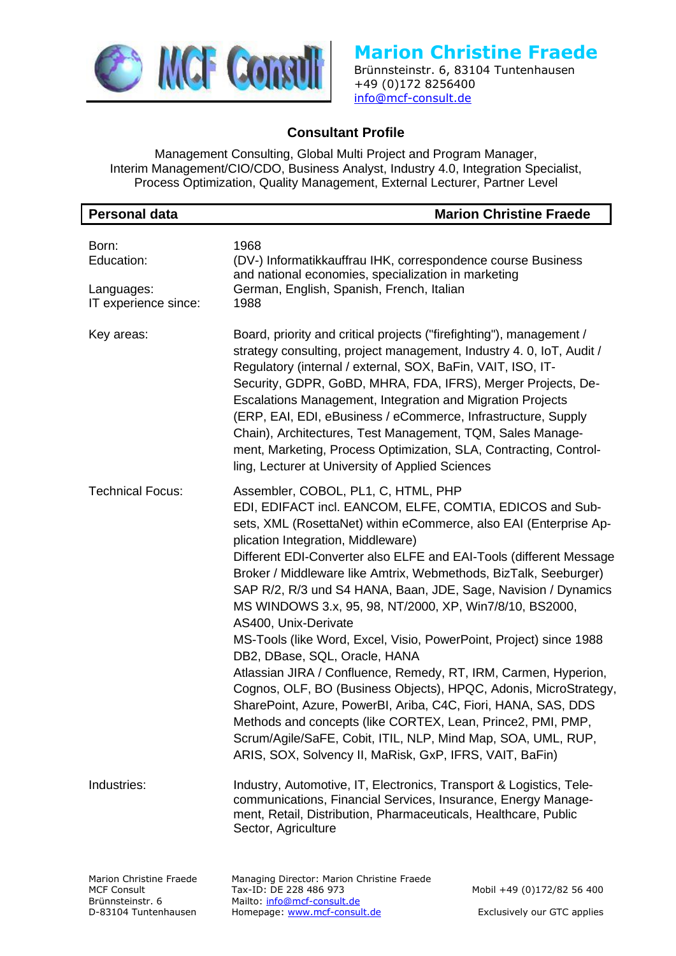

Brünnsteinstr. 6, 83104 Tuntenhausen +49 (0)172 8256400 [info@mcf-consult.de](mailto:info@mcf-consult.de)

## **Consultant Profile**

Management Consulting, Global Multi Project and Program Manager, Interim Management/CIO/CDO, Business Analyst, Industry 4.0, Integration Specialist, Process Optimization, Quality Management, External Lecturer, Partner Level

| <b>Personal data</b>                                              | <b>Marion Christine Fraede</b>                                                                                                                                                                                                                                                                                                                                                                                                                                                                                                                                                                                                                                                                                                                                                                                                                                                                                                                                                                                     |
|-------------------------------------------------------------------|--------------------------------------------------------------------------------------------------------------------------------------------------------------------------------------------------------------------------------------------------------------------------------------------------------------------------------------------------------------------------------------------------------------------------------------------------------------------------------------------------------------------------------------------------------------------------------------------------------------------------------------------------------------------------------------------------------------------------------------------------------------------------------------------------------------------------------------------------------------------------------------------------------------------------------------------------------------------------------------------------------------------|
| Born:<br>Education:                                               | 1968<br>(DV-) Informatikkauffrau IHK, correspondence course Business<br>and national economies, specialization in marketing                                                                                                                                                                                                                                                                                                                                                                                                                                                                                                                                                                                                                                                                                                                                                                                                                                                                                        |
| Languages:<br>IT experience since:                                | German, English, Spanish, French, Italian<br>1988                                                                                                                                                                                                                                                                                                                                                                                                                                                                                                                                                                                                                                                                                                                                                                                                                                                                                                                                                                  |
| Key areas:                                                        | Board, priority and critical projects ("firefighting"), management /<br>strategy consulting, project management, Industry 4. 0, IoT, Audit /<br>Regulatory (internal / external, SOX, BaFin, VAIT, ISO, IT-<br>Security, GDPR, GoBD, MHRA, FDA, IFRS), Merger Projects, De-<br>Escalations Management, Integration and Migration Projects<br>(ERP, EAI, EDI, eBusiness / eCommerce, Infrastructure, Supply<br>Chain), Architectures, Test Management, TQM, Sales Manage-<br>ment, Marketing, Process Optimization, SLA, Contracting, Control-<br>ling, Lecturer at University of Applied Sciences                                                                                                                                                                                                                                                                                                                                                                                                                  |
| <b>Technical Focus:</b>                                           | Assembler, COBOL, PL1, C, HTML, PHP<br>EDI, EDIFACT incl. EANCOM, ELFE, COMTIA, EDICOS and Sub-<br>sets, XML (RosettaNet) within eCommerce, also EAI (Enterprise Ap-<br>plication Integration, Middleware)<br>Different EDI-Converter also ELFE and EAI-Tools (different Message<br>Broker / Middleware like Amtrix, Webmethods, BizTalk, Seeburger)<br>SAP R/2, R/3 und S4 HANA, Baan, JDE, Sage, Navision / Dynamics<br>MS WINDOWS 3.x, 95, 98, NT/2000, XP, Win7/8/10, BS2000,<br>AS400, Unix-Derivate<br>MS-Tools (like Word, Excel, Visio, PowerPoint, Project) since 1988<br>DB2, DBase, SQL, Oracle, HANA<br>Atlassian JIRA / Confluence, Remedy, RT, IRM, Carmen, Hyperion,<br>Cognos, OLF, BO (Business Objects), HPQC, Adonis, MicroStrategy,<br>SharePoint, Azure, PowerBI, Ariba, C4C, Fiori, HANA, SAS, DDS<br>Methods and concepts (like CORTEX, Lean, Prince2, PMI, PMP,<br>Scrum/Agile/SaFE, Cobit, ITIL, NLP, Mind Map, SOA, UML, RUP,<br>ARIS, SOX, Solvency II, MaRisk, GxP, IFRS, VAIT, BaFin) |
| Industries:                                                       | Industry, Automotive, IT, Electronics, Transport & Logistics, Tele-<br>communications, Financial Services, Insurance, Energy Manage-<br>ment, Retail, Distribution, Pharmaceuticals, Healthcare, Public<br>Sector, Agriculture                                                                                                                                                                                                                                                                                                                                                                                                                                                                                                                                                                                                                                                                                                                                                                                     |
| Marion Christine Fraede<br><b>MCF Consult</b><br>Brünnsteinstr. 6 | Managing Director: Marion Christine Fraede<br>Tax-ID: DE 228 486 973<br>Mobil +49 (0)172/82 56 400<br>Mailto: info@mcf-consult.de                                                                                                                                                                                                                                                                                                                                                                                                                                                                                                                                                                                                                                                                                                                                                                                                                                                                                  |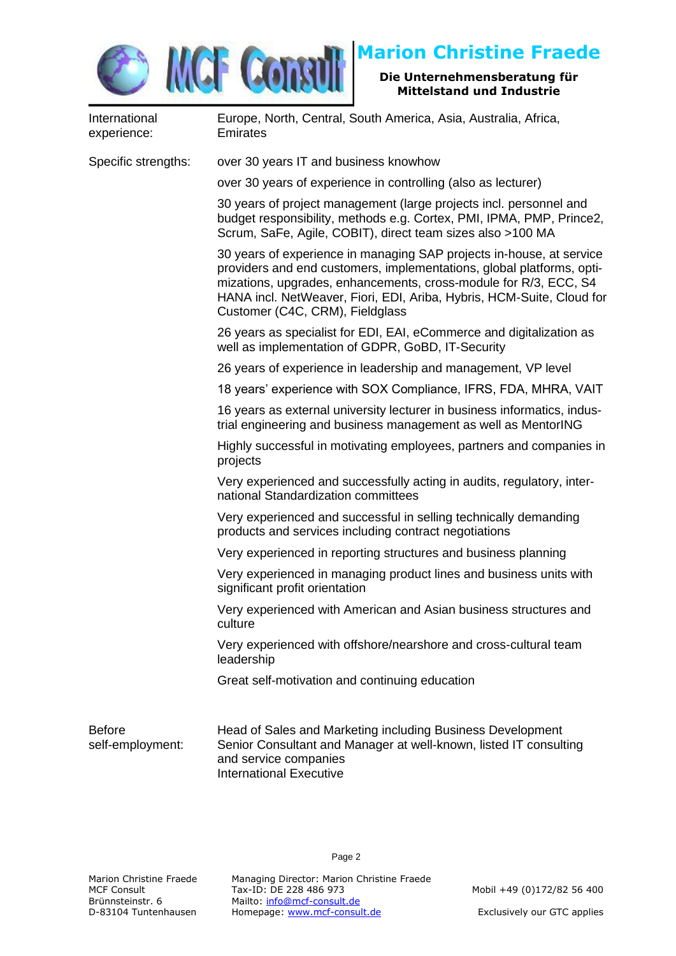

### **Die Unternehmensberatung für Mittelstand und Industrie**

| International<br>experience:      | Europe, North, Central, South America, Asia, Australia, Africa,<br><b>Emirates</b>                                                                                                                                                                                                                                            |
|-----------------------------------|-------------------------------------------------------------------------------------------------------------------------------------------------------------------------------------------------------------------------------------------------------------------------------------------------------------------------------|
| Specific strengths:               | over 30 years IT and business knowhow                                                                                                                                                                                                                                                                                         |
|                                   | over 30 years of experience in controlling (also as lecturer)                                                                                                                                                                                                                                                                 |
|                                   | 30 years of project management (large projects incl. personnel and<br>budget responsibility, methods e.g. Cortex, PMI, IPMA, PMP, Prince2,<br>Scrum, SaFe, Agile, COBIT), direct team sizes also >100 MA                                                                                                                      |
|                                   | 30 years of experience in managing SAP projects in-house, at service<br>providers and end customers, implementations, global platforms, opti-<br>mizations, upgrades, enhancements, cross-module for R/3, ECC, S4<br>HANA incl. NetWeaver, Fiori, EDI, Ariba, Hybris, HCM-Suite, Cloud for<br>Customer (C4C, CRM), Fieldglass |
|                                   | 26 years as specialist for EDI, EAI, eCommerce and digitalization as<br>well as implementation of GDPR, GoBD, IT-Security                                                                                                                                                                                                     |
|                                   | 26 years of experience in leadership and management, VP level                                                                                                                                                                                                                                                                 |
|                                   | 18 years' experience with SOX Compliance, IFRS, FDA, MHRA, VAIT                                                                                                                                                                                                                                                               |
|                                   | 16 years as external university lecturer in business informatics, indus-<br>trial engineering and business management as well as MentorING                                                                                                                                                                                    |
|                                   | Highly successful in motivating employees, partners and companies in<br>projects                                                                                                                                                                                                                                              |
|                                   | Very experienced and successfully acting in audits, regulatory, inter-<br>national Standardization committees                                                                                                                                                                                                                 |
|                                   | Very experienced and successful in selling technically demanding<br>products and services including contract negotiations                                                                                                                                                                                                     |
|                                   | Very experienced in reporting structures and business planning                                                                                                                                                                                                                                                                |
|                                   | Very experienced in managing product lines and business units with<br>significant profit orientation                                                                                                                                                                                                                          |
|                                   | Very experienced with American and Asian business structures and<br>culture                                                                                                                                                                                                                                                   |
|                                   | Very experienced with offshore/nearshore and cross-cultural team<br>leadership                                                                                                                                                                                                                                                |
|                                   | Great self-motivation and continuing education                                                                                                                                                                                                                                                                                |
| <b>Before</b><br>self-employment: | Head of Sales and Marketing including Business Development<br>Senior Consultant and Manager at well-known, listed IT consulting<br>and service companies<br><b>International Executive</b>                                                                                                                                    |

Page 2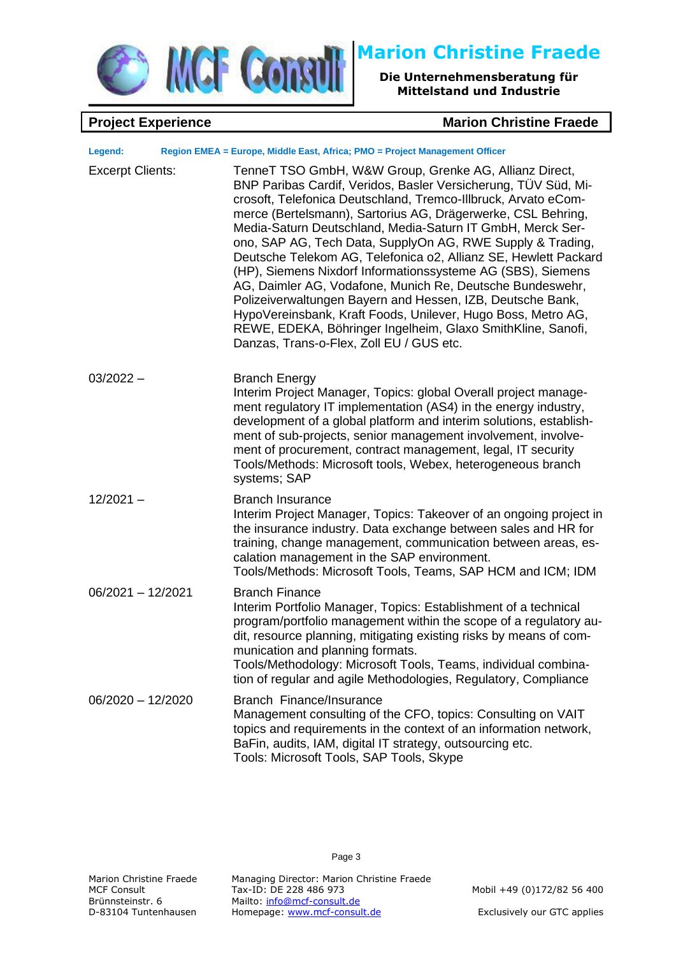

**Die Unternehmensberatung für Mittelstand und Industrie**

### **Project Experience Marion Christine Fraede**

| Legend:                 | Region EMEA = Europe, Middle East, Africa; PMO = Project Management Officer                                                                                                                                                                                                                                                                                                                                                                                                                                                                                                                                                                                                                                                                                                                                                    |
|-------------------------|--------------------------------------------------------------------------------------------------------------------------------------------------------------------------------------------------------------------------------------------------------------------------------------------------------------------------------------------------------------------------------------------------------------------------------------------------------------------------------------------------------------------------------------------------------------------------------------------------------------------------------------------------------------------------------------------------------------------------------------------------------------------------------------------------------------------------------|
| <b>Excerpt Clients:</b> | TenneT TSO GmbH, W&W Group, Grenke AG, Allianz Direct,<br>BNP Paribas Cardif, Veridos, Basler Versicherung, TÜV Süd, Mi-<br>crosoft, Telefonica Deutschland, Tremco-Illbruck, Arvato eCom-<br>merce (Bertelsmann), Sartorius AG, Drägerwerke, CSL Behring,<br>Media-Saturn Deutschland, Media-Saturn IT GmbH, Merck Ser-<br>ono, SAP AG, Tech Data, SupplyOn AG, RWE Supply & Trading,<br>Deutsche Telekom AG, Telefonica o2, Allianz SE, Hewlett Packard<br>(HP), Siemens Nixdorf Informationssysteme AG (SBS), Siemens<br>AG, Daimler AG, Vodafone, Munich Re, Deutsche Bundeswehr,<br>Polizeiverwaltungen Bayern and Hessen, IZB, Deutsche Bank,<br>HypoVereinsbank, Kraft Foods, Unilever, Hugo Boss, Metro AG,<br>REWE, EDEKA, Böhringer Ingelheim, Glaxo SmithKline, Sanofi,<br>Danzas, Trans-o-Flex, Zoll EU / GUS etc. |
| $03/2022 -$             | <b>Branch Energy</b><br>Interim Project Manager, Topics: global Overall project manage-<br>ment regulatory IT implementation (AS4) in the energy industry,<br>development of a global platform and interim solutions, establish-<br>ment of sub-projects, senior management involvement, involve-<br>ment of procurement, contract management, legal, IT security<br>Tools/Methods: Microsoft tools, Webex, heterogeneous branch<br>systems; SAP                                                                                                                                                                                                                                                                                                                                                                               |
| $12/2021 -$             | <b>Branch Insurance</b><br>Interim Project Manager, Topics: Takeover of an ongoing project in<br>the insurance industry. Data exchange between sales and HR for<br>training, change management, communication between areas, es-<br>calation management in the SAP environment.<br>Tools/Methods: Microsoft Tools, Teams, SAP HCM and ICM; IDM                                                                                                                                                                                                                                                                                                                                                                                                                                                                                 |
| $06/2021 - 12/2021$     | <b>Branch Finance</b><br>Interim Portfolio Manager, Topics: Establishment of a technical<br>program/portfolio management within the scope of a regulatory au-<br>dit, resource planning, mitigating existing risks by means of com-<br>munication and planning formats.<br>Tools/Methodology: Microsoft Tools, Teams, individual combina-<br>tion of regular and agile Methodologies, Regulatory, Compliance                                                                                                                                                                                                                                                                                                                                                                                                                   |
| $06/2020 - 12/2020$     | Branch Finance/Insurance<br>Management consulting of the CFO, topics: Consulting on VAIT<br>topics and requirements in the context of an information network,<br>BaFin, audits, IAM, digital IT strategy, outsourcing etc.<br>Tools: Microsoft Tools, SAP Tools, Skype                                                                                                                                                                                                                                                                                                                                                                                                                                                                                                                                                         |

Page 3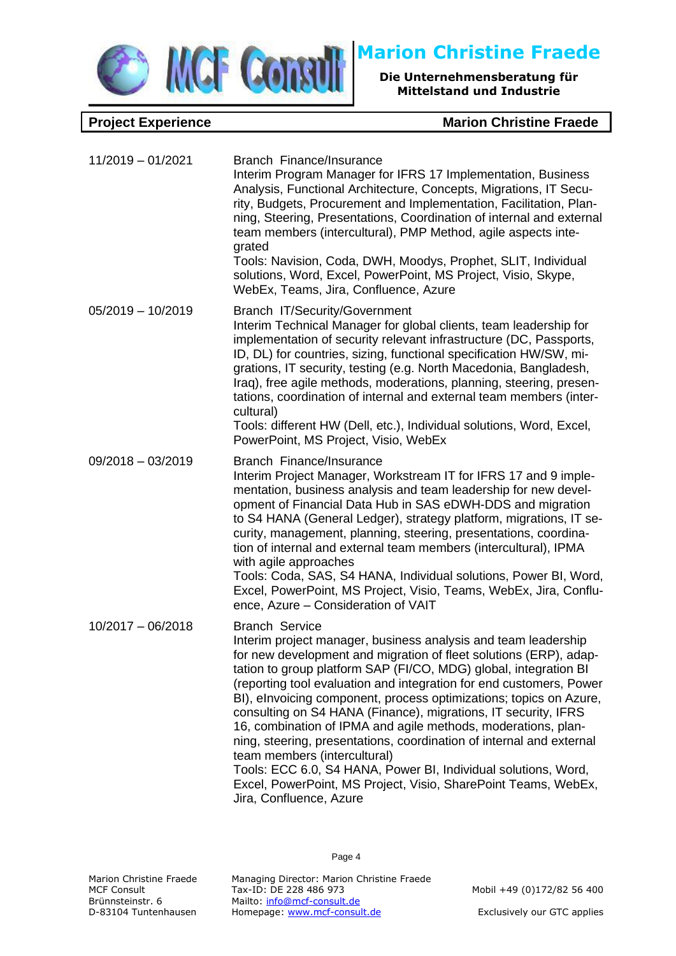

**Project Experience Marion Christine Fraede** 

| 11/2019 - 01/2021   | Branch Finance/Insurance<br>Interim Program Manager for IFRS 17 Implementation, Business<br>Analysis, Functional Architecture, Concepts, Migrations, IT Secu-<br>rity, Budgets, Procurement and Implementation, Facilitation, Plan-<br>ning, Steering, Presentations, Coordination of internal and external<br>team members (intercultural), PMP Method, agile aspects inte-<br>grated<br>Tools: Navision, Coda, DWH, Moodys, Prophet, SLIT, Individual<br>solutions, Word, Excel, PowerPoint, MS Project, Visio, Skype,<br>WebEx, Teams, Jira, Confluence, Azure                                                                                                                                                                                                                       |
|---------------------|-----------------------------------------------------------------------------------------------------------------------------------------------------------------------------------------------------------------------------------------------------------------------------------------------------------------------------------------------------------------------------------------------------------------------------------------------------------------------------------------------------------------------------------------------------------------------------------------------------------------------------------------------------------------------------------------------------------------------------------------------------------------------------------------|
| $05/2019 - 10/2019$ | Branch IT/Security/Government<br>Interim Technical Manager for global clients, team leadership for<br>implementation of security relevant infrastructure (DC, Passports,<br>ID, DL) for countries, sizing, functional specification HW/SW, mi-<br>grations, IT security, testing (e.g. North Macedonia, Bangladesh,<br>Iraq), free agile methods, moderations, planning, steering, presen-<br>tations, coordination of internal and external team members (inter-<br>cultural)<br>Tools: different HW (Dell, etc.), Individual solutions, Word, Excel,<br>PowerPoint, MS Project, Visio, WebEx                                                                                                                                                                                          |
| $09/2018 - 03/2019$ | Branch Finance/Insurance<br>Interim Project Manager, Workstream IT for IFRS 17 and 9 imple-<br>mentation, business analysis and team leadership for new devel-<br>opment of Financial Data Hub in SAS eDWH-DDS and migration<br>to S4 HANA (General Ledger), strategy platform, migrations, IT se-<br>curity, management, planning, steering, presentations, coordina-<br>tion of internal and external team members (intercultural), IPMA<br>with agile approaches<br>Tools: Coda, SAS, S4 HANA, Individual solutions, Power BI, Word,<br>Excel, PowerPoint, MS Project, Visio, Teams, WebEx, Jira, Conflu-<br>ence, Azure - Consideration of VAIT                                                                                                                                     |
| $10/2017 - 06/2018$ | <b>Branch Service</b><br>Interim project manager, business analysis and team leadership<br>for new development and migration of fleet solutions (ERP), adap-<br>tation to group platform SAP (FI/CO, MDG) global, integration BI<br>(reporting tool evaluation and integration for end customers, Power<br>BI), elnvoicing component, process optimizations; topics on Azure,<br>consulting on S4 HANA (Finance), migrations, IT security, IFRS<br>16, combination of IPMA and agile methods, moderations, plan-<br>ning, steering, presentations, coordination of internal and external<br>team members (intercultural)<br>Tools: ECC 6.0, S4 HANA, Power BI, Individual solutions, Word,<br>Excel, PowerPoint, MS Project, Visio, SharePoint Teams, WebEx,<br>Jira, Confluence, Azure |

Page 4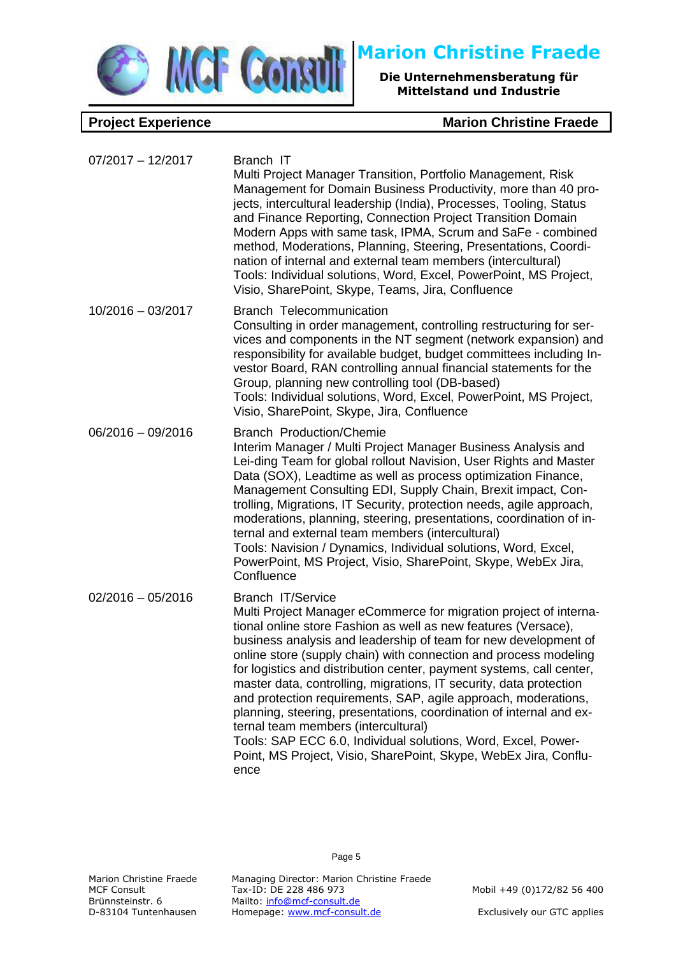

| $07/2017 - 12/2017$ | Branch IT<br>Multi Project Manager Transition, Portfolio Management, Risk<br>Management for Domain Business Productivity, more than 40 pro-<br>jects, intercultural leadership (India), Processes, Tooling, Status<br>and Finance Reporting, Connection Project Transition Domain<br>Modern Apps with same task, IPMA, Scrum and SaFe - combined<br>method, Moderations, Planning, Steering, Presentations, Coordi-<br>nation of internal and external team members (intercultural)<br>Tools: Individual solutions, Word, Excel, PowerPoint, MS Project,<br>Visio, SharePoint, Skype, Teams, Jira, Confluence                                                                                                                                                                     |
|---------------------|-----------------------------------------------------------------------------------------------------------------------------------------------------------------------------------------------------------------------------------------------------------------------------------------------------------------------------------------------------------------------------------------------------------------------------------------------------------------------------------------------------------------------------------------------------------------------------------------------------------------------------------------------------------------------------------------------------------------------------------------------------------------------------------|
| $10/2016 - 03/2017$ | <b>Branch Telecommunication</b><br>Consulting in order management, controlling restructuring for ser-<br>vices and components in the NT segment (network expansion) and<br>responsibility for available budget, budget committees including In-<br>vestor Board, RAN controlling annual financial statements for the<br>Group, planning new controlling tool (DB-based)<br>Tools: Individual solutions, Word, Excel, PowerPoint, MS Project,<br>Visio, SharePoint, Skype, Jira, Confluence                                                                                                                                                                                                                                                                                        |
| $06/2016 - 09/2016$ | <b>Branch Production/Chemie</b><br>Interim Manager / Multi Project Manager Business Analysis and<br>Lei-ding Team for global rollout Navision, User Rights and Master<br>Data (SOX), Leadtime as well as process optimization Finance,<br>Management Consulting EDI, Supply Chain, Brexit impact, Con-<br>trolling, Migrations, IT Security, protection needs, agile approach,<br>moderations, planning, steering, presentations, coordination of in-<br>ternal and external team members (intercultural)<br>Tools: Navision / Dynamics, Individual solutions, Word, Excel,<br>PowerPoint, MS Project, Visio, SharePoint, Skype, WebEx Jira,<br>Confluence                                                                                                                        |
| $02/2016 - 05/2016$ | <b>Branch IT/Service</b><br>Multi Project Manager eCommerce for migration project of interna-<br>tional online store Fashion as well as new features (Versace),<br>business analysis and leadership of team for new development of<br>online store (supply chain) with connection and process modeling<br>for logistics and distribution center, payment systems, call center,<br>master data, controlling, migrations, IT security, data protection<br>and protection requirements, SAP, agile approach, moderations,<br>planning, steering, presentations, coordination of internal and ex-<br>ternal team members (intercultural)<br>Tools: SAP ECC 6.0, Individual solutions, Word, Excel, Power-<br>Point, MS Project, Visio, SharePoint, Skype, WebEx Jira, Conflu-<br>ence |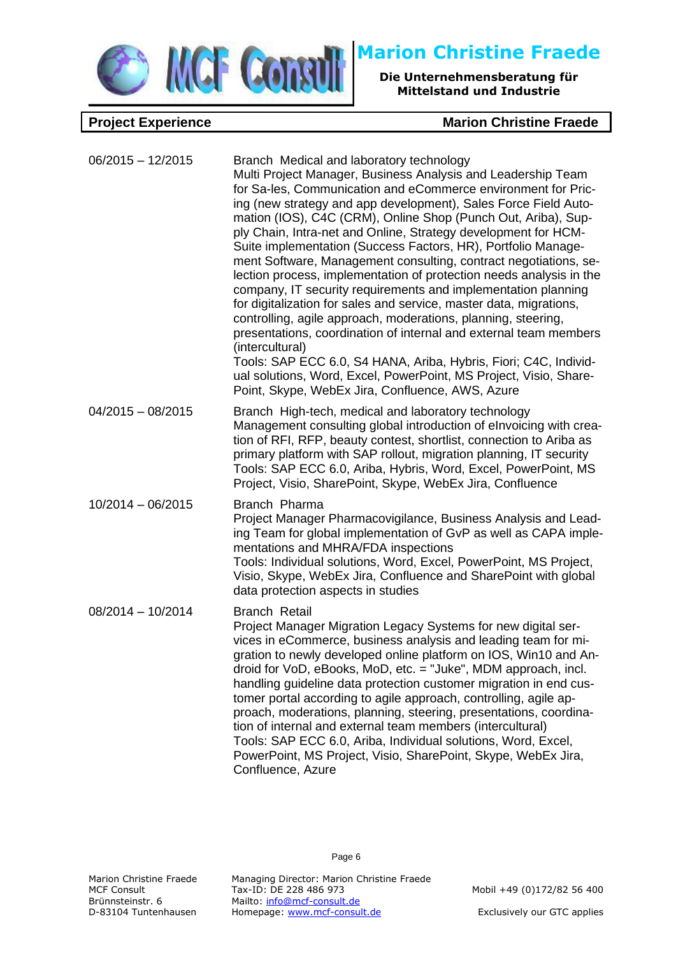

| $06/2015 - 12/2015$ | Branch Medical and laboratory technology<br>Multi Project Manager, Business Analysis and Leadership Team<br>for Sa-les, Communication and eCommerce environment for Pric-<br>ing (new strategy and app development), Sales Force Field Auto-<br>mation (IOS), C4C (CRM), Online Shop (Punch Out, Ariba), Sup-<br>ply Chain, Intra-net and Online, Strategy development for HCM-<br>Suite implementation (Success Factors, HR), Portfolio Manage-<br>ment Software, Management consulting, contract negotiations, se-<br>lection process, implementation of protection needs analysis in the<br>company, IT security requirements and implementation planning<br>for digitalization for sales and service, master data, migrations,<br>controlling, agile approach, moderations, planning, steering,<br>presentations, coordination of internal and external team members<br>(intercultural)<br>Tools: SAP ECC 6.0, S4 HANA, Ariba, Hybris, Fiori; C4C, Individ-<br>ual solutions, Word, Excel, PowerPoint, MS Project, Visio, Share-<br>Point, Skype, WebEx Jira, Confluence, AWS, Azure |
|---------------------|------------------------------------------------------------------------------------------------------------------------------------------------------------------------------------------------------------------------------------------------------------------------------------------------------------------------------------------------------------------------------------------------------------------------------------------------------------------------------------------------------------------------------------------------------------------------------------------------------------------------------------------------------------------------------------------------------------------------------------------------------------------------------------------------------------------------------------------------------------------------------------------------------------------------------------------------------------------------------------------------------------------------------------------------------------------------------------------|
| $04/2015 - 08/2015$ | Branch High-tech, medical and laboratory technology<br>Management consulting global introduction of elnvoicing with crea-<br>tion of RFI, RFP, beauty contest, shortlist, connection to Ariba as<br>primary platform with SAP rollout, migration planning, IT security<br>Tools: SAP ECC 6.0, Ariba, Hybris, Word, Excel, PowerPoint, MS<br>Project, Visio, SharePoint, Skype, WebEx Jira, Confluence                                                                                                                                                                                                                                                                                                                                                                                                                                                                                                                                                                                                                                                                                    |
| 10/2014 - 06/2015   | Branch Pharma<br>Project Manager Pharmacovigilance, Business Analysis and Lead-<br>ing Team for global implementation of GvP as well as CAPA imple-<br>mentations and MHRA/FDA inspections<br>Tools: Individual solutions, Word, Excel, PowerPoint, MS Project,<br>Visio, Skype, WebEx Jira, Confluence and SharePoint with global<br>data protection aspects in studies                                                                                                                                                                                                                                                                                                                                                                                                                                                                                                                                                                                                                                                                                                                 |
| $08/2014 - 10/2014$ | <b>Branch Retail</b><br>Project Manager Migration Legacy Systems for new digital ser-<br>vices in eCommerce, business analysis and leading team for mi-<br>gration to newly developed online platform on IOS, Win10 and An-<br>droid for VoD, eBooks, MoD, etc. = "Juke", MDM approach, incl.<br>handling guideline data protection customer migration in end cus-<br>tomer portal according to agile approach, controlling, agile ap-<br>proach, moderations, planning, steering, presentations, coordina-<br>tion of internal and external team members (intercultural)<br>Tools: SAP ECC 6.0, Ariba, Individual solutions, Word, Excel,<br>PowerPoint, MS Project, Visio, SharePoint, Skype, WebEx Jira,<br>Confluence, Azure                                                                                                                                                                                                                                                                                                                                                         |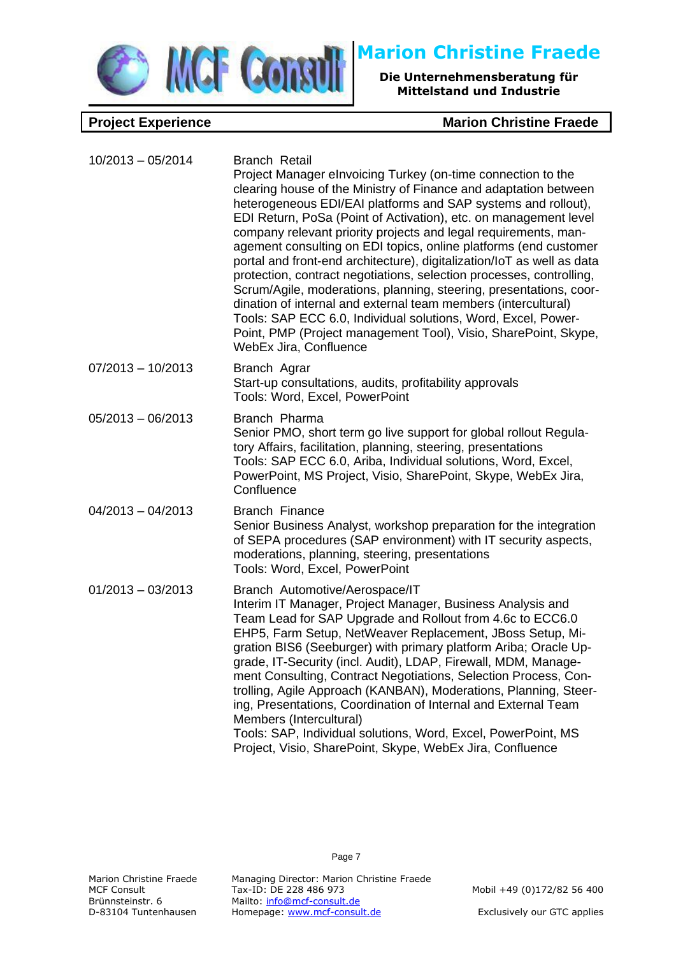

| $10/2013 - 05/2014$ | <b>Branch Retail</b><br>Project Manager elnvoicing Turkey (on-time connection to the<br>clearing house of the Ministry of Finance and adaptation between<br>heterogeneous EDI/EAI platforms and SAP systems and rollout),<br>EDI Return, PoSa (Point of Activation), etc. on management level<br>company relevant priority projects and legal requirements, man-<br>agement consulting on EDI topics, online platforms (end customer<br>portal and front-end architecture), digitalization/loT as well as data<br>protection, contract negotiations, selection processes, controlling,<br>Scrum/Agile, moderations, planning, steering, presentations, coor-<br>dination of internal and external team members (intercultural)<br>Tools: SAP ECC 6.0, Individual solutions, Word, Excel, Power-<br>Point, PMP (Project management Tool), Visio, SharePoint, Skype,<br>WebEx Jira, Confluence |
|---------------------|----------------------------------------------------------------------------------------------------------------------------------------------------------------------------------------------------------------------------------------------------------------------------------------------------------------------------------------------------------------------------------------------------------------------------------------------------------------------------------------------------------------------------------------------------------------------------------------------------------------------------------------------------------------------------------------------------------------------------------------------------------------------------------------------------------------------------------------------------------------------------------------------|
| $07/2013 - 10/2013$ | Branch Agrar<br>Start-up consultations, audits, profitability approvals<br>Tools: Word, Excel, PowerPoint                                                                                                                                                                                                                                                                                                                                                                                                                                                                                                                                                                                                                                                                                                                                                                                    |
| $05/2013 - 06/2013$ | Branch Pharma<br>Senior PMO, short term go live support for global rollout Regula-<br>tory Affairs, facilitation, planning, steering, presentations<br>Tools: SAP ECC 6.0, Ariba, Individual solutions, Word, Excel,<br>PowerPoint, MS Project, Visio, SharePoint, Skype, WebEx Jira,<br>Confluence                                                                                                                                                                                                                                                                                                                                                                                                                                                                                                                                                                                          |
| $04/2013 - 04/2013$ | <b>Branch Finance</b><br>Senior Business Analyst, workshop preparation for the integration<br>of SEPA procedures (SAP environment) with IT security aspects,<br>moderations, planning, steering, presentations<br>Tools: Word, Excel, PowerPoint                                                                                                                                                                                                                                                                                                                                                                                                                                                                                                                                                                                                                                             |
| $01/2013 - 03/2013$ | Branch Automotive/Aerospace/IT<br>Interim IT Manager, Project Manager, Business Analysis and<br>Team Lead for SAP Upgrade and Rollout from 4.6c to ECC6.0<br>EHP5, Farm Setup, NetWeaver Replacement, JBoss Setup, Mi-<br>gration BIS6 (Seeburger) with primary platform Ariba; Oracle Up-<br>grade, IT-Security (incl. Audit), LDAP, Firewall, MDM, Manage-<br>ment Consulting, Contract Negotiations, Selection Process, Con-<br>trolling, Agile Approach (KANBAN), Moderations, Planning, Steer-<br>ing, Presentations, Coordination of Internal and External Team<br>Members (Intercultural)<br>Tools: SAP, Individual solutions, Word, Excel, PowerPoint, MS<br>Project, Visio, SharePoint, Skype, WebEx Jira, Confluence                                                                                                                                                               |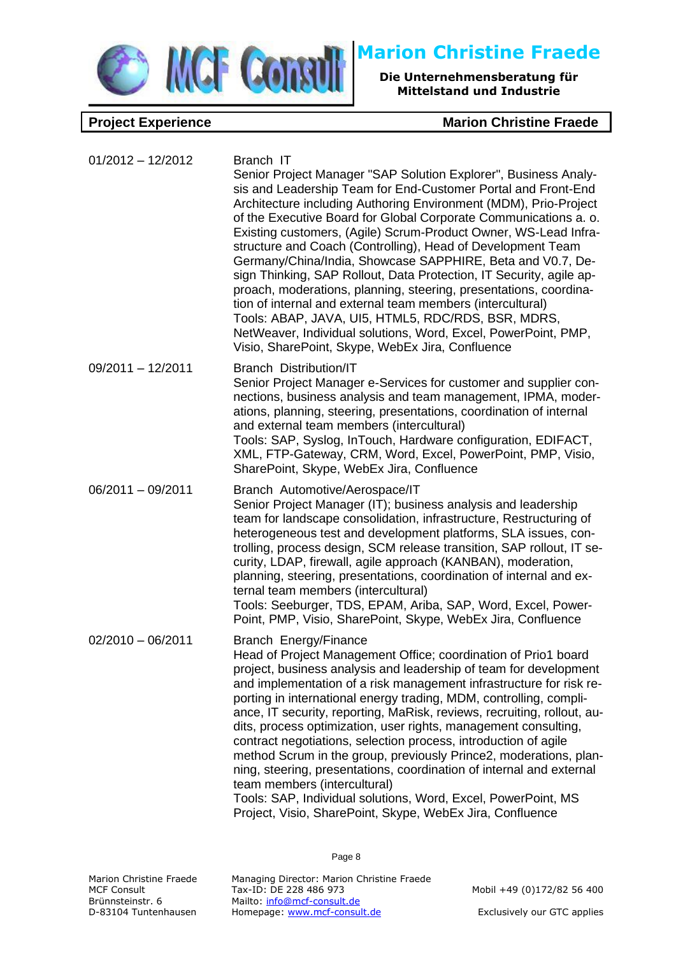

**Project Experience Marion Christine Fraede** 

| $01/2012 - 12/2012$ | Branch IT<br>Senior Project Manager "SAP Solution Explorer", Business Analy-<br>sis and Leadership Team for End-Customer Portal and Front-End<br>Architecture including Authoring Environment (MDM), Prio-Project<br>of the Executive Board for Global Corporate Communications a. o.<br>Existing customers, (Agile) Scrum-Product Owner, WS-Lead Infra-<br>structure and Coach (Controlling), Head of Development Team<br>Germany/China/India, Showcase SAPPHIRE, Beta and V0.7, De-<br>sign Thinking, SAP Rollout, Data Protection, IT Security, agile ap-<br>proach, moderations, planning, steering, presentations, coordina-<br>tion of internal and external team members (intercultural)<br>Tools: ABAP, JAVA, UI5, HTML5, RDC/RDS, BSR, MDRS,<br>NetWeaver, Individual solutions, Word, Excel, PowerPoint, PMP,<br>Visio, SharePoint, Skype, WebEx Jira, Confluence |
|---------------------|-----------------------------------------------------------------------------------------------------------------------------------------------------------------------------------------------------------------------------------------------------------------------------------------------------------------------------------------------------------------------------------------------------------------------------------------------------------------------------------------------------------------------------------------------------------------------------------------------------------------------------------------------------------------------------------------------------------------------------------------------------------------------------------------------------------------------------------------------------------------------------|
| 09/2011 - 12/2011   | <b>Branch Distribution/IT</b><br>Senior Project Manager e-Services for customer and supplier con-<br>nections, business analysis and team management, IPMA, moder-<br>ations, planning, steering, presentations, coordination of internal<br>and external team members (intercultural)<br>Tools: SAP, Syslog, InTouch, Hardware configuration, EDIFACT,<br>XML, FTP-Gateway, CRM, Word, Excel, PowerPoint, PMP, Visio,<br>SharePoint, Skype, WebEx Jira, Confluence                                                                                                                                                                                                                                                                                                                                                                                                         |
| $06/2011 - 09/2011$ | Branch Automotive/Aerospace/IT<br>Senior Project Manager (IT); business analysis and leadership<br>team for landscape consolidation, infrastructure, Restructuring of<br>heterogeneous test and development platforms, SLA issues, con-<br>trolling, process design, SCM release transition, SAP rollout, IT se-<br>curity, LDAP, firewall, agile approach (KANBAN), moderation,<br>planning, steering, presentations, coordination of internal and ex-<br>ternal team members (intercultural)<br>Tools: Seeburger, TDS, EPAM, Ariba, SAP, Word, Excel, Power-<br>Point, PMP, Visio, SharePoint, Skype, WebEx Jira, Confluence                                                                                                                                                                                                                                              |
| $02/2010 - 06/2011$ | Branch Energy/Finance<br>Head of Project Management Office; coordination of Prio1 board<br>project, business analysis and leadership of team for development<br>and implementation of a risk management infrastructure for risk re-<br>porting in international energy trading, MDM, controlling, compli-<br>ance, IT security, reporting, MaRisk, reviews, recruiting, rollout, au-<br>dits, process optimization, user rights, management consulting,<br>contract negotiations, selection process, introduction of agile<br>method Scrum in the group, previously Prince2, moderations, plan-<br>ning, steering, presentations, coordination of internal and external<br>team members (intercultural)<br>Tools: SAP, Individual solutions, Word, Excel, PowerPoint, MS<br>Project, Visio, SharePoint, Skype, WebEx Jira, Confluence                                       |

Page 8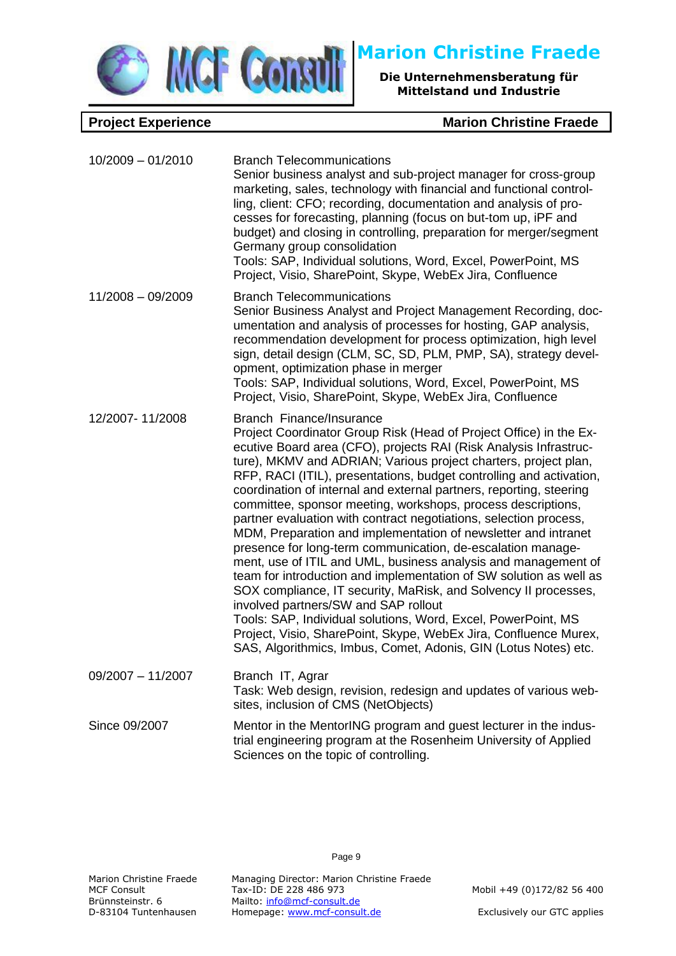

| $10/2009 - 01/2010$ | <b>Branch Telecommunications</b><br>Senior business analyst and sub-project manager for cross-group<br>marketing, sales, technology with financial and functional control-<br>ling, client: CFO; recording, documentation and analysis of pro-<br>cesses for forecasting, planning (focus on but-tom up, iPF and<br>budget) and closing in controlling, preparation for merger/segment<br>Germany group consolidation<br>Tools: SAP, Individual solutions, Word, Excel, PowerPoint, MS<br>Project, Visio, SharePoint, Skype, WebEx Jira, Confluence                                                                                                                                                                                                                                                                                                                                                                                                                                                                                                                                                                   |
|---------------------|-----------------------------------------------------------------------------------------------------------------------------------------------------------------------------------------------------------------------------------------------------------------------------------------------------------------------------------------------------------------------------------------------------------------------------------------------------------------------------------------------------------------------------------------------------------------------------------------------------------------------------------------------------------------------------------------------------------------------------------------------------------------------------------------------------------------------------------------------------------------------------------------------------------------------------------------------------------------------------------------------------------------------------------------------------------------------------------------------------------------------|
| $11/2008 - 09/2009$ | <b>Branch Telecommunications</b><br>Senior Business Analyst and Project Management Recording, doc-<br>umentation and analysis of processes for hosting, GAP analysis,<br>recommendation development for process optimization, high level<br>sign, detail design (CLM, SC, SD, PLM, PMP, SA), strategy devel-<br>opment, optimization phase in merger<br>Tools: SAP, Individual solutions, Word, Excel, PowerPoint, MS<br>Project, Visio, SharePoint, Skype, WebEx Jira, Confluence                                                                                                                                                                                                                                                                                                                                                                                                                                                                                                                                                                                                                                    |
| 12/2007-11/2008     | Branch Finance/Insurance<br>Project Coordinator Group Risk (Head of Project Office) in the Ex-<br>ecutive Board area (CFO), projects RAI (Risk Analysis Infrastruc-<br>ture), MKMV and ADRIAN; Various project charters, project plan,<br>RFP, RACI (ITIL), presentations, budget controlling and activation,<br>coordination of internal and external partners, reporting, steering<br>committee, sponsor meeting, workshops, process descriptions,<br>partner evaluation with contract negotiations, selection process,<br>MDM, Preparation and implementation of newsletter and intranet<br>presence for long-term communication, de-escalation manage-<br>ment, use of ITIL and UML, business analysis and management of<br>team for introduction and implementation of SW solution as well as<br>SOX compliance, IT security, MaRisk, and Solvency II processes,<br>involved partners/SW and SAP rollout<br>Tools: SAP, Individual solutions, Word, Excel, PowerPoint, MS<br>Project, Visio, SharePoint, Skype, WebEx Jira, Confluence Murex,<br>SAS, Algorithmics, Imbus, Comet, Adonis, GIN (Lotus Notes) etc. |
| $09/2007 - 11/2007$ | Branch IT, Agrar<br>Task: Web design, revision, redesign and updates of various web-<br>sites, inclusion of CMS (NetObjects)                                                                                                                                                                                                                                                                                                                                                                                                                                                                                                                                                                                                                                                                                                                                                                                                                                                                                                                                                                                          |
| Since 09/2007       | Mentor in the MentorING program and guest lecturer in the indus-<br>trial engineering program at the Rosenheim University of Applied<br>Sciences on the topic of controlling.                                                                                                                                                                                                                                                                                                                                                                                                                                                                                                                                                                                                                                                                                                                                                                                                                                                                                                                                         |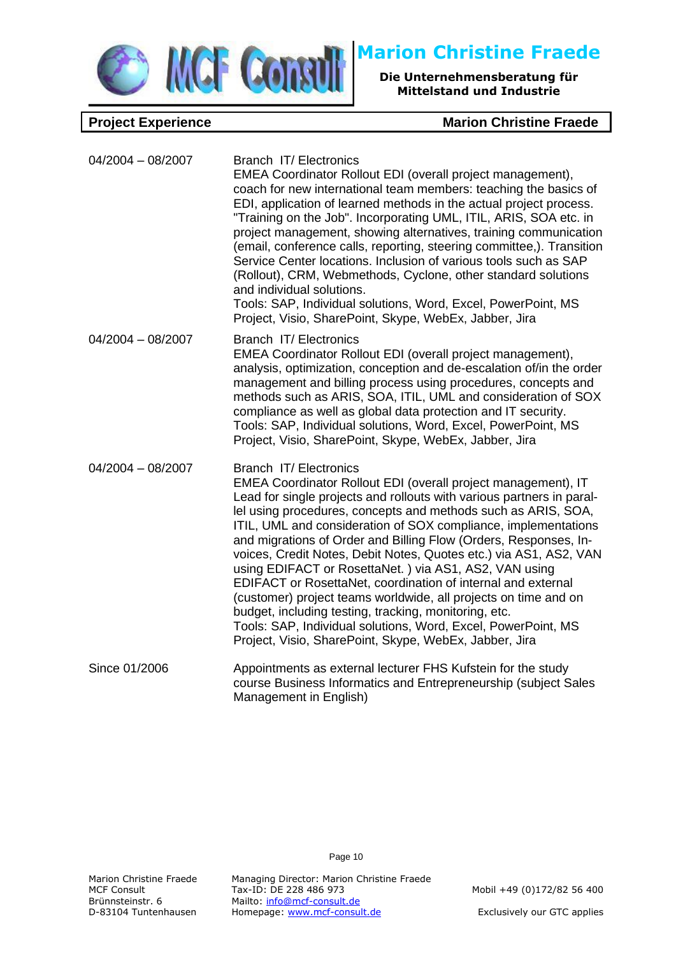

**Project Experience Marion Christine Fraede** 

| $04/2004 - 08/2007$ | Branch IT/ Electronics<br>EMEA Coordinator Rollout EDI (overall project management),<br>coach for new international team members: teaching the basics of<br>EDI, application of learned methods in the actual project process.<br>"Training on the Job". Incorporating UML, ITIL, ARIS, SOA etc. in<br>project management, showing alternatives, training communication<br>(email, conference calls, reporting, steering committee,). Transition<br>Service Center locations. Inclusion of various tools such as SAP<br>(Rollout), CRM, Webmethods, Cyclone, other standard solutions<br>and individual solutions.<br>Tools: SAP, Individual solutions, Word, Excel, PowerPoint, MS<br>Project, Visio, SharePoint, Skype, WebEx, Jabber, Jira                                                                                |
|---------------------|------------------------------------------------------------------------------------------------------------------------------------------------------------------------------------------------------------------------------------------------------------------------------------------------------------------------------------------------------------------------------------------------------------------------------------------------------------------------------------------------------------------------------------------------------------------------------------------------------------------------------------------------------------------------------------------------------------------------------------------------------------------------------------------------------------------------------|
| $04/2004 - 08/2007$ | Branch IT/ Electronics<br>EMEA Coordinator Rollout EDI (overall project management),<br>analysis, optimization, conception and de-escalation of/in the order<br>management and billing process using procedures, concepts and<br>methods such as ARIS, SOA, ITIL, UML and consideration of SOX<br>compliance as well as global data protection and IT security.<br>Tools: SAP, Individual solutions, Word, Excel, PowerPoint, MS<br>Project, Visio, SharePoint, Skype, WebEx, Jabber, Jira                                                                                                                                                                                                                                                                                                                                   |
| $04/2004 - 08/2007$ | Branch IT/ Electronics<br>EMEA Coordinator Rollout EDI (overall project management), IT<br>Lead for single projects and rollouts with various partners in paral-<br>lel using procedures, concepts and methods such as ARIS, SOA,<br>ITIL, UML and consideration of SOX compliance, implementations<br>and migrations of Order and Billing Flow (Orders, Responses, In-<br>voices, Credit Notes, Debit Notes, Quotes etc.) via AS1, AS2, VAN<br>using EDIFACT or RosettaNet.) via AS1, AS2, VAN using<br>EDIFACT or RosettaNet, coordination of internal and external<br>(customer) project teams worldwide, all projects on time and on<br>budget, including testing, tracking, monitoring, etc.<br>Tools: SAP, Individual solutions, Word, Excel, PowerPoint, MS<br>Project, Visio, SharePoint, Skype, WebEx, Jabber, Jira |
| Since 01/2006       | Appointments as external lecturer FHS Kufstein for the study<br>course Business Informatics and Entrepreneurship (subject Sales<br>Management in English)                                                                                                                                                                                                                                                                                                                                                                                                                                                                                                                                                                                                                                                                    |

Page 10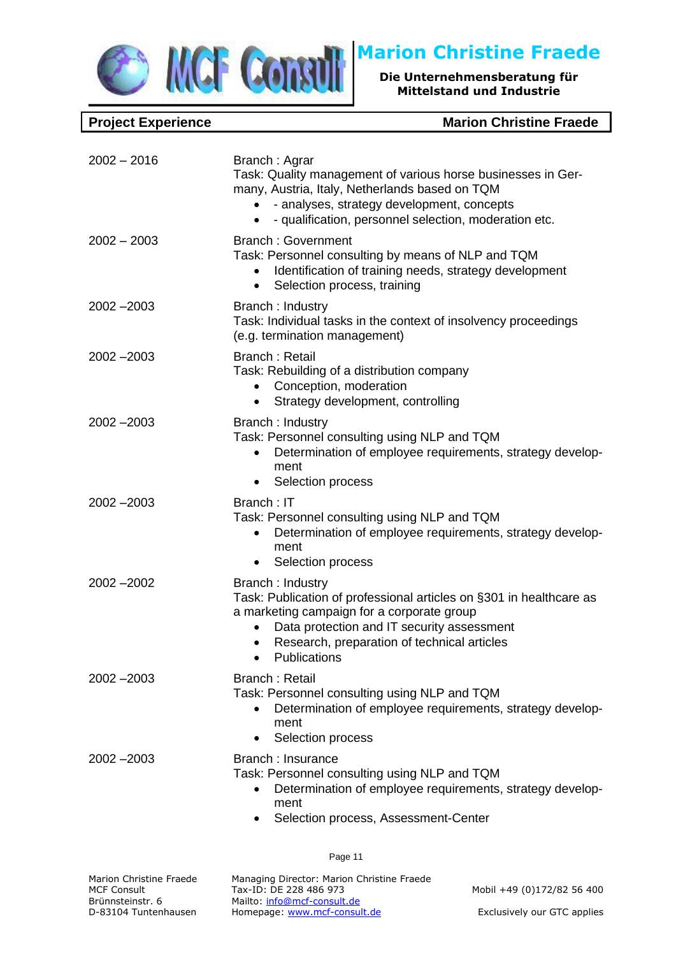

| $2002 - 2016$           | Branch: Agrar<br>Task: Quality management of various horse businesses in Ger-<br>many, Austria, Italy, Netherlands based on TQM<br>- analyses, strategy development, concepts<br>- qualification, personnel selection, moderation etc.<br>$\bullet$ |
|-------------------------|-----------------------------------------------------------------------------------------------------------------------------------------------------------------------------------------------------------------------------------------------------|
| $2002 - 2003$           | <b>Branch: Government</b><br>Task: Personnel consulting by means of NLP and TQM<br>Identification of training needs, strategy development<br>Selection process, training<br>$\bullet$                                                               |
| $2002 - 2003$           | Branch: Industry<br>Task: Individual tasks in the context of insolvency proceedings<br>(e.g. termination management)                                                                                                                                |
| 2002 - 2003             | <b>Branch: Retail</b><br>Task: Rebuilding of a distribution company<br>Conception, moderation<br>٠<br>Strategy development, controlling<br>$\bullet$                                                                                                |
| $2002 - 2003$           | Branch: Industry<br>Task: Personnel consulting using NLP and TQM<br>Determination of employee requirements, strategy develop-<br>ment<br>Selection process                                                                                          |
| $2002 - 2003$           | Branch: IT<br>Task: Personnel consulting using NLP and TQM<br>Determination of employee requirements, strategy develop-<br>ment<br>Selection process                                                                                                |
| $2002 - 2002$           | Branch: Industry<br>Task: Publication of professional articles on §301 in healthcare as<br>a marketing campaign for a corporate group<br>Data protection and IT security assessment<br>Research, preparation of technical articles<br>Publications  |
| $2002 - 2003$           | <b>Branch: Retail</b><br>Task: Personnel consulting using NLP and TQM<br>Determination of employee requirements, strategy develop-<br>$\bullet$<br>ment<br>Selection process<br>٠                                                                   |
| $2002 - 2003$           | Branch: Insurance<br>Task: Personnel consulting using NLP and TQM<br>Determination of employee requirements, strategy develop-<br>$\bullet$<br>ment<br>Selection process, Assessment-Center<br>٠                                                    |
|                         | Page 11                                                                                                                                                                                                                                             |
| Marion Christine Fraede | Managing Director: Marion Christine Fraede                                                                                                                                                                                                          |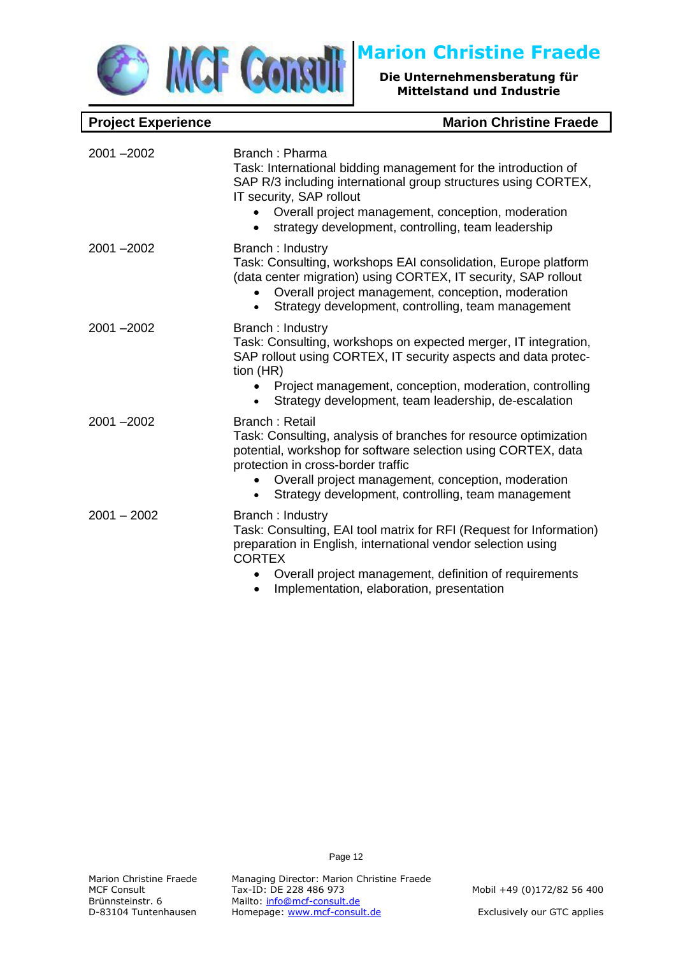

### **Project Experience**

| <b>Marion Christine Fraede</b> |  |  |
|--------------------------------|--|--|
|--------------------------------|--|--|

| $2001 - 2002$ | Branch: Pharma<br>Task: International bidding management for the introduction of<br>SAP R/3 including international group structures using CORTEX,<br>IT security, SAP rollout<br>Overall project management, conception, moderation<br>strategy development, controlling, team leadership            |
|---------------|-------------------------------------------------------------------------------------------------------------------------------------------------------------------------------------------------------------------------------------------------------------------------------------------------------|
| $2001 - 2002$ | Branch: Industry<br>Task: Consulting, workshops EAI consolidation, Europe platform<br>(data center migration) using CORTEX, IT security, SAP rollout<br>Overall project management, conception, moderation<br>Strategy development, controlling, team management                                      |
| $2001 - 2002$ | Branch: Industry<br>Task: Consulting, workshops on expected merger, IT integration,<br>SAP rollout using CORTEX, IT security aspects and data protec-<br>tion (HR)<br>Project management, conception, moderation, controlling<br>Strategy development, team leadership, de-escalation                 |
| 2001-2002     | Branch: Retail<br>Task: Consulting, analysis of branches for resource optimization<br>potential, workshop for software selection using CORTEX, data<br>protection in cross-border traffic<br>Overall project management, conception, moderation<br>Strategy development, controlling, team management |
| $2001 - 2002$ | Branch: Industry<br>Task: Consulting, EAI tool matrix for RFI (Request for Information)<br>preparation in English, international vendor selection using<br><b>CORTEX</b><br>Overall project management, definition of requirements<br>Implementation, elaboration, presentation                       |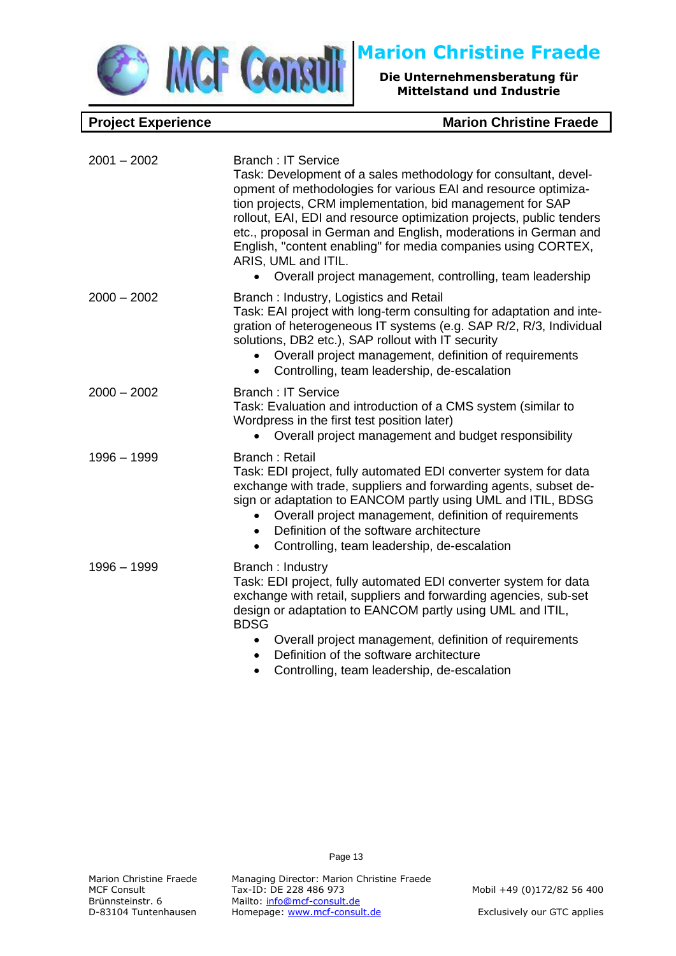

2001 – 2002 Branch : IT Service

**Die Unternehmensberatung für Mittelstand und Industrie**

### **Project Experience Marion Christine Fraede**

|               | Task: Development of a sales methodology for consultant, devel-<br>opment of methodologies for various EAI and resource optimiza-<br>tion projects, CRM implementation, bid management for SAP<br>rollout, EAI, EDI and resource optimization projects, public tenders<br>etc., proposal in German and English, moderations in German and<br>English, "content enabling" for media companies using CORTEX,<br>ARIS, UML and ITIL.<br>Overall project management, controlling, team leadership |
|---------------|-----------------------------------------------------------------------------------------------------------------------------------------------------------------------------------------------------------------------------------------------------------------------------------------------------------------------------------------------------------------------------------------------------------------------------------------------------------------------------------------------|
| $2000 - 2002$ | Branch: Industry, Logistics and Retail<br>Task: EAI project with long-term consulting for adaptation and inte-<br>gration of heterogeneous IT systems (e.g. SAP R/2, R/3, Individual<br>solutions, DB2 etc.), SAP rollout with IT security<br>Overall project management, definition of requirements<br>Controlling, team leadership, de-escalation<br>$\bullet$                                                                                                                              |
| $2000 - 2002$ | <b>Branch: IT Service</b><br>Task: Evaluation and introduction of a CMS system (similar to<br>Wordpress in the first test position later)<br>Overall project management and budget responsibility                                                                                                                                                                                                                                                                                             |
| $1996 - 1999$ | Branch: Retail<br>Task: EDI project, fully automated EDI converter system for data<br>exchange with trade, suppliers and forwarding agents, subset de-<br>sign or adaptation to EANCOM partly using UML and ITIL, BDSG<br>Overall project management, definition of requirements<br>Definition of the software architecture<br>$\bullet$<br>Controlling, team leadership, de-escalation<br>$\bullet$                                                                                          |
| $1996 - 1999$ | Branch: Industry<br>Task: EDI project, fully automated EDI converter system for data<br>exchange with retail, suppliers and forwarding agencies, sub-set<br>design or adaptation to EANCOM partly using UML and ITIL,<br><b>BDSG</b><br>Overall project management, definition of requirements<br>• Definition of the software architecture                                                                                                                                                   |

- Definition of the software architecture
- Controlling, team leadership, de-escalation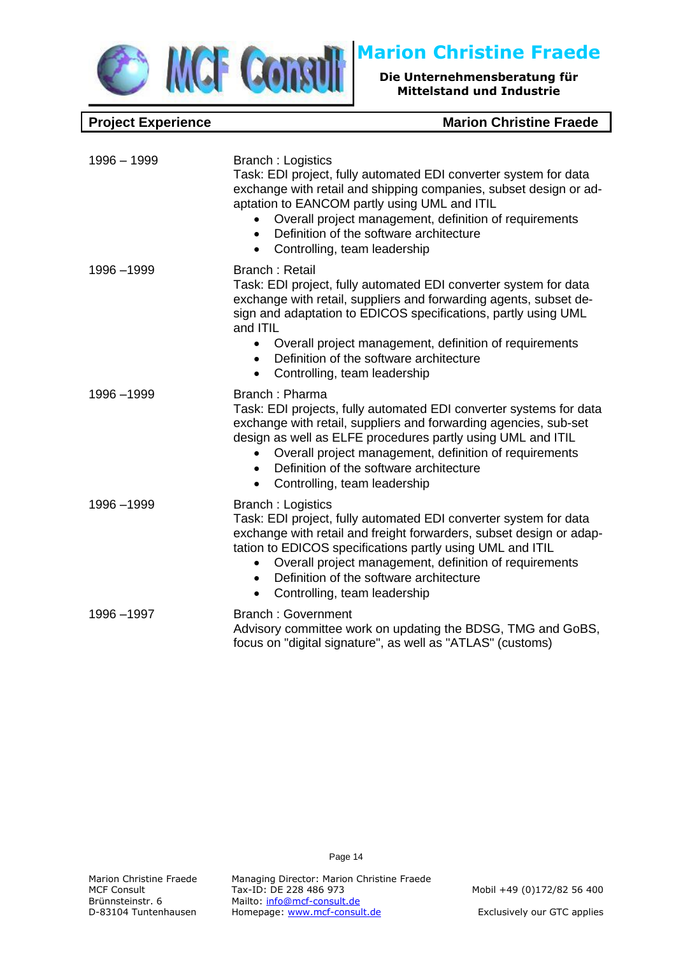

**Project Experience Marion Christine Fraede** 

| $1996 - 1999$ | <b>Branch: Logistics</b><br>Task: EDI project, fully automated EDI converter system for data<br>exchange with retail and shipping companies, subset design or ad-<br>aptation to EANCOM partly using UML and ITIL<br>Overall project management, definition of requirements<br>Definition of the software architecture<br>$\bullet$<br>Controlling, team leadership<br>$\bullet$                                 |
|---------------|------------------------------------------------------------------------------------------------------------------------------------------------------------------------------------------------------------------------------------------------------------------------------------------------------------------------------------------------------------------------------------------------------------------|
| 1996 - 1999   | <b>Branch: Retail</b><br>Task: EDI project, fully automated EDI converter system for data<br>exchange with retail, suppliers and forwarding agents, subset de-<br>sign and adaptation to EDICOS specifications, partly using UML<br>and ITIL<br>Overall project management, definition of requirements<br>$\bullet$<br>Definition of the software architecture<br>$\bullet$<br>Controlling, team leadership<br>٠ |
| 1996-1999     | Branch: Pharma<br>Task: EDI projects, fully automated EDI converter systems for data<br>exchange with retail, suppliers and forwarding agencies, sub-set<br>design as well as ELFE procedures partly using UML and ITIL<br>Overall project management, definition of requirements<br>Definition of the software architecture<br>$\bullet$<br>Controlling, team leadership<br>$\bullet$                           |
| 1996-1999     | <b>Branch: Logistics</b><br>Task: EDI project, fully automated EDI converter system for data<br>exchange with retail and freight forwarders, subset design or adap-<br>tation to EDICOS specifications partly using UML and ITIL<br>Overall project management, definition of requirements<br>$\bullet$<br>Definition of the software architecture<br>$\bullet$<br>Controlling, team leadership<br>$\bullet$     |
| 1996-1997     | <b>Branch: Government</b><br>Advisory committee work on updating the BDSG, TMG and GoBS,<br>focus on "digital signature", as well as "ATLAS" (customs)                                                                                                                                                                                                                                                           |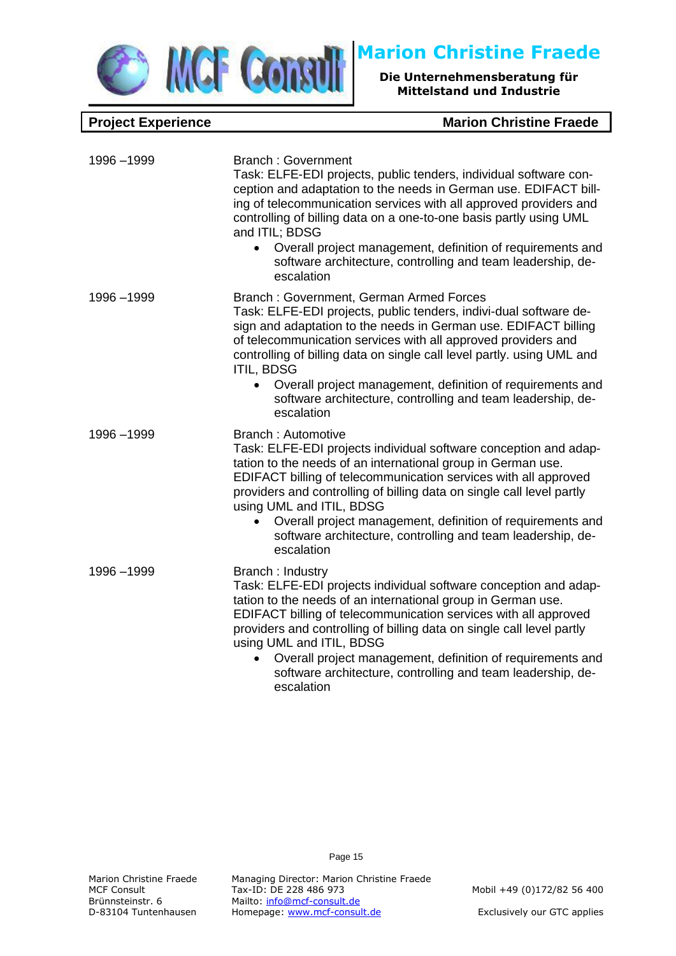

1996 –1999 Branch : Government

**Die Unternehmensberatung für Mittelstand und Industrie**

### **Project Experience Marion Christine Fraede**

|             | Task: ELFE-EDI projects, public tenders, individual software con-<br>ception and adaptation to the needs in German use. EDIFACT bill-<br>ing of telecommunication services with all approved providers and<br>controlling of billing data on a one-to-one basis partly using UML<br>and ITIL; BDSG<br>Overall project management, definition of requirements and<br>$\bullet$<br>software architecture, controlling and team leadership, de-<br>escalation                                    |
|-------------|-----------------------------------------------------------------------------------------------------------------------------------------------------------------------------------------------------------------------------------------------------------------------------------------------------------------------------------------------------------------------------------------------------------------------------------------------------------------------------------------------|
| 1996 - 1999 | Branch: Government, German Armed Forces<br>Task: ELFE-EDI projects, public tenders, indivi-dual software de-<br>sign and adaptation to the needs in German use. EDIFACT billing<br>of telecommunication services with all approved providers and<br>controlling of billing data on single call level partly. using UML and<br><b>ITIL, BDSG</b><br>Overall project management, definition of requirements and<br>software architecture, controlling and team leadership, de-<br>escalation    |
| 1996 - 1999 | <b>Branch: Automotive</b><br>Task: ELFE-EDI projects individual software conception and adap-<br>tation to the needs of an international group in German use.<br>EDIFACT billing of telecommunication services with all approved<br>providers and controlling of billing data on single call level partly<br>using UML and ITIL, BDSG<br>Overall project management, definition of requirements and<br>$\bullet$<br>software architecture, controlling and team leadership, de-<br>escalation |
| 1996-1999   | Branch: Industry<br>Task: ELFE-EDI projects individual software conception and adap-<br>tation to the needs of an international group in German use.<br>EDIFACT billing of telecommunication services with all approved<br>providers and controlling of billing data on single call level partly<br>using UML and ITIL, BDSG<br>Overall project management, definition of requirements and<br>aaftusee arabitaatura aantralling anal taana laadarahin, da                                     |

software architecture, controlling and team leadership, deescalation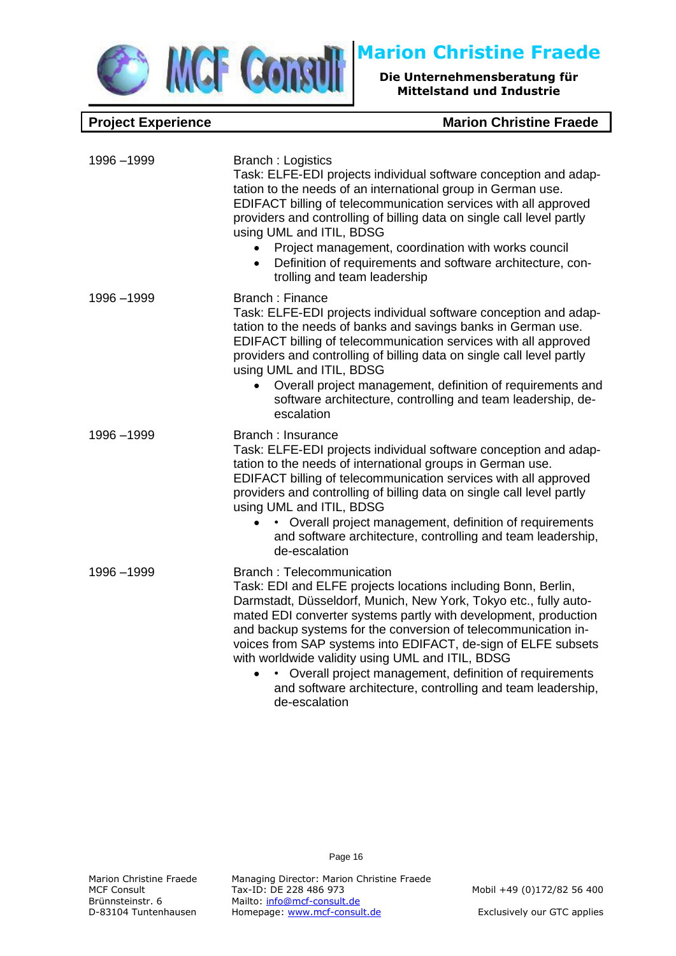

**Project Experience Marion Christine Fraede** 

| 1996-1999   | <b>Branch : Logistics</b><br>Task: ELFE-EDI projects individual software conception and adap-<br>tation to the needs of an international group in German use.<br>EDIFACT billing of telecommunication services with all approved<br>providers and controlling of billing data on single call level partly<br>using UML and ITIL, BDSG<br>Project management, coordination with works council<br>Definition of requirements and software architecture, con-<br>$\bullet$<br>trolling and team leadership                                                  |
|-------------|----------------------------------------------------------------------------------------------------------------------------------------------------------------------------------------------------------------------------------------------------------------------------------------------------------------------------------------------------------------------------------------------------------------------------------------------------------------------------------------------------------------------------------------------------------|
| 1996-1999   | <b>Branch: Finance</b><br>Task: ELFE-EDI projects individual software conception and adap-<br>tation to the needs of banks and savings banks in German use.<br>EDIFACT billing of telecommunication services with all approved<br>providers and controlling of billing data on single call level partly<br>using UML and ITIL, BDSG<br>Overall project management, definition of requirements and<br>software architecture, controlling and team leadership, de-<br>escalation                                                                           |
| 1996 - 1999 | Branch: Insurance<br>Task: ELFE-EDI projects individual software conception and adap-<br>tation to the needs of international groups in German use.<br>EDIFACT billing of telecommunication services with all approved<br>providers and controlling of billing data on single call level partly<br>using UML and ITIL, BDSG<br>• Overall project management, definition of requirements<br>and software architecture, controlling and team leadership,<br>de-escalation                                                                                  |
| 1996-1999   | <b>Branch: Telecommunication</b><br>Task: EDI and ELFE projects locations including Bonn, Berlin,<br>Darmstadt, Düsseldorf, Munich, New York, Tokyo etc., fully auto-<br>mated EDI converter systems partly with development, production<br>and backup systems for the conversion of telecommunication in-<br>voices from SAP systems into EDIFACT, de-sign of ELFE subsets<br>with worldwide validity using UML and ITIL, BDSG<br>Overall project management, definition of requirements<br>and software architecture, controlling and team leadership, |

Page 16

Marion Christine Fraede Managing Director: Marion Christine Fraede<br>MCF Consult Tax-ID: DE 228 486 973 MCF Consult Tax-ID: DE 228 486 973 Mobil +49 (0)172/82 56 400<br>Brünnsteinstr. 6 Mailto: <u>info@mcf-consult.de</u> Brünnsteinstr. 6 Mailto: [info@mcf-consult.de](mailto:info@mcf-consult.de)<br>D-83104 Tuntenhausen Homepage: www.mcf-consu Homepage: [www.mcf-consult.de](http://www.mcf-consult.de/) Exclusively our GTC applies

de-escalation